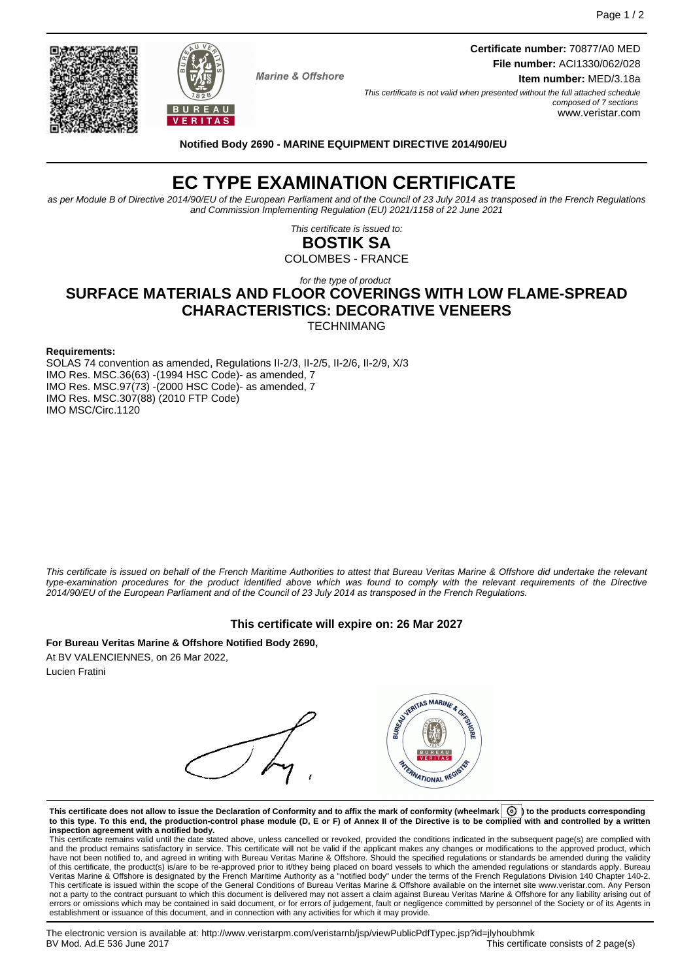**Marine & Offshore** 

**Certificate number:** 70877/A0 MED **File number:** ACI1330/062/028

**Item number:** MED/3.18a

This certificate is not valid when presented without the full attached schedule composed of 7 sections www.veristar.com

**Notified Body 2690 - MARINE EQUIPMENT DIRECTIVE 2014/90/EU**

# **EC TYPE EXAMINATION CERTIFICATE**

as per Module B of Directive 2014/90/EU of the European Parliament and of the Council of 23 July 2014 as transposed in the French Regulations and Commission Implementing Regulation (EU) 2021/1158 of 22 June 2021

> This certificate is issued to: **BOSTIK SA**

COLOMBES - FRANCE

## for the type of product **SURFACE MATERIALS AND FLOOR COVERINGS WITH LOW FLAME-SPREAD CHARACTERISTICS: DECORATIVE VENEERS**

**TECHNIMANG** 

#### **Requirements:**

SOLAS 74 convention as amended, Regulations II-2/3, II-2/5, II-2/6, II-2/9, X/3 IMO Res. MSC.36(63) -(1994 HSC Code)- as amended, 7 IMO Res. MSC.97(73) -(2000 HSC Code)- as amended, 7 IMO Res. MSC.307(88) (2010 FTP Code) IMO MSC/Circ.1120

This certificate is issued on behalf of the French Maritime Authorities to attest that Bureau Veritas Marine & Offshore did undertake the relevant type-examination procedures for the product identified above which was found to comply with the relevant requirements of the Directive 2014/90/EU of the European Parliament and of the Council of 23 July 2014 as transposed in the French Regulations.

#### **This certificate will expire on: 26 Mar 2027**

**For Bureau Veritas Marine & Offshore Notified Body 2690,** At BV VALENCIENNES, on 26 Mar 2022, Lucien Fratini

VERITAS MARINE & ORIGIN **AYERNATIONAL REGI** 

**This certificate does not allow to issue the Declaration of Conformity and to affix the mark of conformity (wheelmark ) to the products corresponding to this type. To this end, the production-control phase module (D, E or F) of Annex II of the Directive is to be complied with and controlled by a written inspection agreement with a notified body.**

This certificate remains valid until the date stated above, unless cancelled or revoked, provided the conditions indicated in the subsequent page(s) are complied with and the product remains satisfactory in service. This certificate will not be valid if the applicant makes any changes or modifications to the approved product, which have not been notified to, and agreed in writing with Bureau Veritas Marine & Offshore. Should the specified regulations or standards be amended during the validity of this certificate, the product(s) is/are to be re-approved prior to it/they being placed on board vessels to which the amended regulations or standards apply. Bureau<br>Veritas Marine & Offshore is designated by the French not a party to the contract pursuant to which this document is delivered may not assert a claim against Bureau Veritas Marine & Offshore for any liability arising out of errors or omissions which may be contained in said document, or for errors of judgement, fault or negligence committed by personnel of the Society or of its Agents in establishment or issuance of this document, and in connection with any activities for which it may provide.